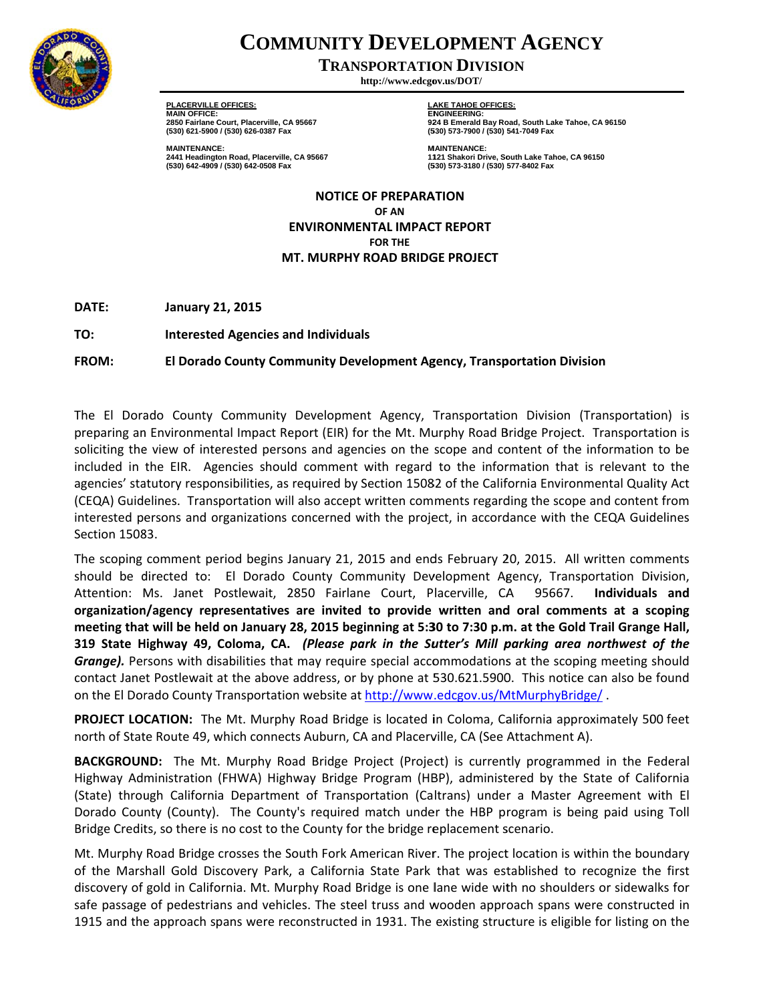

## **COMMUNITY DEVELOPMENT AGENCY**

**TRANSPORTATION DIVISION** 

http://www.edcgov.us/DOT/

**PLACERVILLE OFFICES: MAIN OFFICE:** 2850 Fairlane Court, Placerville, CA 95667<br>(530) 621-5900 / (530) 626-0387 Fax

**MAINTENANCE:** 2441 Headington Road, Placerville, CA 95667 (530) 642-4909 / (530) 642-0508 Fax

**LAKE TAHOE OFFICES: ENGINEERING:** 924 B Emerald Bay Road, South Lake Tahoe, CA 96150<br>(530) 573-7900 / (530) 541-7049 Fax

**MAINTENANCE:** 1121 Shakori Drive, South Lake Tahoe, CA 96150 (530) 573-3180 / (530) 577-8402 Fax

**NOTICE OF PREPARATION** OF AN **ENVIRONMENTAL IMPACT REPORT FOR THE** MT. MURPHY ROAD BRIDGE PROJECT

DATE: **January 21, 2015** 

TO: **Interested Agencies and Individuals** 

FROM: El Dorado County Community Development Agency, Transportation Division

The El Dorado County Community Development Agency, Transportation Division (Transportation) is preparing an Environmental Impact Report (EIR) for the Mt. Murphy Road Bridge Project. Transportation is soliciting the view of interested persons and agencies on the scope and content of the information to be included in the EIR. Agencies should comment with regard to the information that is relevant to the agencies' statutory responsibilities, as required by Section 15082 of the California Environmental Quality Act (CEQA) Guidelines. Transportation will also accept written comments regarding the scope and content from interested persons and organizations concerned with the project, in accordance with the CEQA Guidelines Section 15083.

The scoping comment period begins January 21, 2015 and ends February 20, 2015. All written comments should be directed to: El Dorado County Community Development Agency, Transportation Division, Attention: Ms. Janet Postlewait, 2850 Fairlane Court, Placerville, CA 95667. Individuals and organization/agency representatives are invited to provide written and oral comments at a scoping meeting that will be held on January 28, 2015 beginning at 5:30 to 7:30 p.m. at the Gold Trail Grange Hall, 319 State Highway 49, Coloma, CA. (Please park in the Sutter's Mill parking area northwest of the Grange). Persons with disabilities that may require special accommodations at the scoping meeting should contact Janet Postlewait at the above address, or by phone at 530.621.5900. This notice can also be found on the El Dorado County Transportation website at http://www.edcgov.us/MtMurphyBridge/.

**PROJECT LOCATION:** The Mt. Murphy Road Bridge is located in Coloma, California approximately 500 feet north of State Route 49, which connects Auburn, CA and Placerville, CA (See Attachment A).

**BACKGROUND:** The Mt. Murphy Road Bridge Project (Project) is currently programmed in the Federal Highway Administration (FHWA) Highway Bridge Program (HBP), administered by the State of California (State) through California Department of Transportation (Caltrans) under a Master Agreement with El Dorado County (County). The County's required match under the HBP program is being paid using Toll Bridge Credits, so there is no cost to the County for the bridge replacement scenario.

Mt. Murphy Road Bridge crosses the South Fork American River. The project location is within the boundary of the Marshall Gold Discovery Park, a California State Park that was established to recognize the first discovery of gold in California. Mt. Murphy Road Bridge is one lane wide with no shoulders or sidewalks for safe passage of pedestrians and vehicles. The steel truss and wooden approach spans were constructed in 1915 and the approach spans were reconstructed in 1931. The existing structure is eligible for listing on the